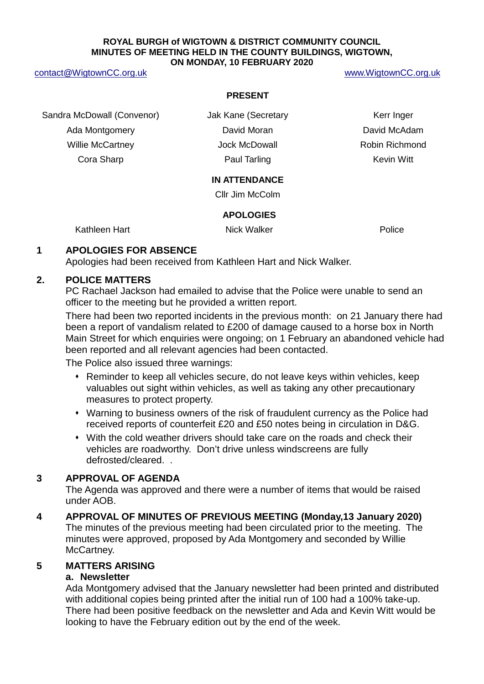#### **ROYAL BURGH of WIGTOWN & DISTRICT COMMUNITY COUNCIL MINUTES OF MEETING HELD IN THE COUNTY BUILDINGS, WIGTOWN, ON MONDAY, 10 FEBRUARY 2020**

#### [contact@WigtownCC.org.uk](mailto:contact@WigtownCC.org.uk) [www.WigtownCC.org.uk](http://www.wigtowncc.org.uk/)

#### **PRESENT**

Sandra McDowall (Convenor) and Jak Kane (Secretary Theorem Conventional Sandra Merr Inger Ada Montgomery **David Moran** David Moran David McAdam Willie McCartney **Matube 20 Holder Herober Jock McDowall** Robin Richmond Cora Sharp Paul Tarling Kevin Witt

#### **IN ATTENDANCE**

Cllr Jim McColm

#### **APOLOGIES**

Kathleen Hart **Nick Walker** Nick Walker **Nick Walker** Police

#### **1 APOLOGIES FOR ABSENCE**

Apologies had been received from Kathleen Hart and Nick Walker.

#### **2. POLICE MATTERS**

PC Rachael Jackson had emailed to advise that the Police were unable to send an officer to the meeting but he provided a written report.

There had been two reported incidents in the previous month: on 21 January there had been a report of vandalism related to £200 of damage caused to a horse box in North Main Street for which enquiries were ongoing; on 1 February an abandoned vehicle had been reported and all relevant agencies had been contacted.

The Police also issued three warnings:

- Reminder to keep all vehicles secure, do not leave keys within vehicles, keep valuables out sight within vehicles, as well as taking any other precautionary measures to protect property.
- Warning to business owners of the risk of fraudulent currency as the Police had received reports of counterfeit £20 and £50 notes being in circulation in D&G.
- With the cold weather drivers should take care on the roads and check their vehicles are roadworthy. Don't drive unless windscreens are fully defrosted/cleared. .

### **3 APPROVAL OF AGENDA**

The Agenda was approved and there were a number of items that would be raised under AOB.

**4 APPROVAL OF MINUTES OF PREVIOUS MEETING (Monday,13 January 2020)** The minutes of the previous meeting had been circulated prior to the meeting. The minutes were approved, proposed by Ada Montgomery and seconded by Willie McCartney.

### **5 MATTERS ARISING**

#### **a. Newsletter**

Ada Montgomery advised that the January newsletter had been printed and distributed with additional copies being printed after the initial run of 100 had a 100% take-up. There had been positive feedback on the newsletter and Ada and Kevin Witt would be looking to have the February edition out by the end of the week.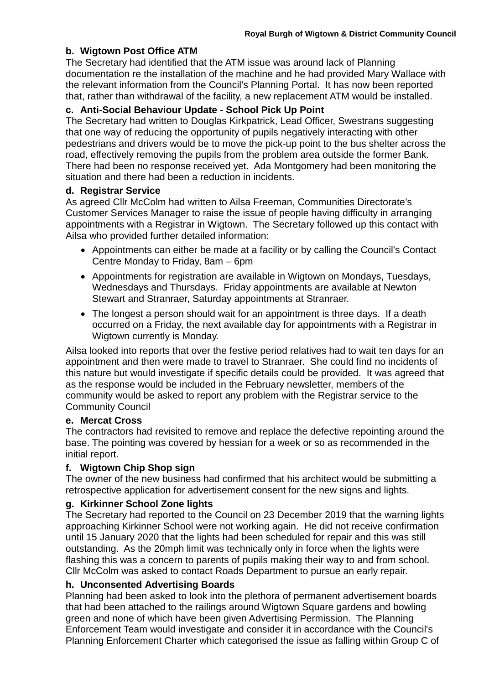# **b. Wigtown Post Office ATM**

The Secretary had identified that the ATM issue was around lack of Planning documentation re the installation of the machine and he had provided Mary Wallace with the relevant information from the Council's Planning Portal. It has now been reported that, rather than withdrawal of the facility, a new replacement ATM would be installed.

# **c. Anti-Social Behaviour Update - School Pick Up Point**

The Secretary had written to Douglas Kirkpatrick, Lead Officer, Swestrans suggesting that one way of reducing the opportunity of pupils negatively interacting with other pedestrians and drivers would be to move the pick-up point to the bus shelter across the road, effectively removing the pupils from the problem area outside the former Bank. There had been no response received yet. Ada Montgomery had been monitoring the situation and there had been a reduction in incidents.

## **d. Registrar Service**

As agreed Cllr McColm had written to Ailsa Freeman, Communities Directorate's Customer Services Manager to raise the issue of people having difficulty in arranging appointments with a Registrar in Wigtown. The Secretary followed up this contact with Ailsa who provided further detailed information:

- Appointments can either be made at a facility or by calling the Council's Contact Centre Monday to Friday, 8am – 6pm
- Appointments for registration are available in Wigtown on Mondays, Tuesdays, Wednesdays and Thursdays. Friday appointments are available at Newton Stewart and Stranraer, Saturday appointments at Stranraer.
- The longest a person should wait for an appointment is three days. If a death occurred on a Friday, the next available day for appointments with a Registrar in Wigtown currently is Monday.

Ailsa looked into reports that over the festive period relatives had to wait ten days for an appointment and then were made to travel to Stranraer. She could find no incidents of this nature but would investigate if specific details could be provided. It was agreed that as the response would be included in the February newsletter, members of the community would be asked to report any problem with the Registrar service to the Community Council

# **e. Mercat Cross**

The contractors had revisited to remove and replace the defective repointing around the base. The pointing was covered by hessian for a week or so as recommended in the initial report.

# **f. Wigtown Chip Shop sign**

The owner of the new business had confirmed that his architect would be submitting a retrospective application for advertisement consent for the new signs and lights.

# **g. Kirkinner School Zone lights**

The Secretary had reported to the Council on 23 December 2019 that the warning lights approaching Kirkinner School were not working again. He did not receive confirmation until 15 January 2020 that the lights had been scheduled for repair and this was still outstanding. As the 20mph limit was technically only in force when the lights were flashing this was a concern to parents of pupils making their way to and from school. Cllr McColm was asked to contact Roads Department to pursue an early repair.

# **h. Unconsented Advertising Boards**

Planning had been asked to look into the plethora of permanent advertisement boards that had been attached to the railings around Wigtown Square gardens and bowling green and none of which have been given Advertising Permission. The Planning Enforcement Team would investigate and consider it in accordance with the Council's Planning Enforcement Charter which categorised the issue as falling within Group C of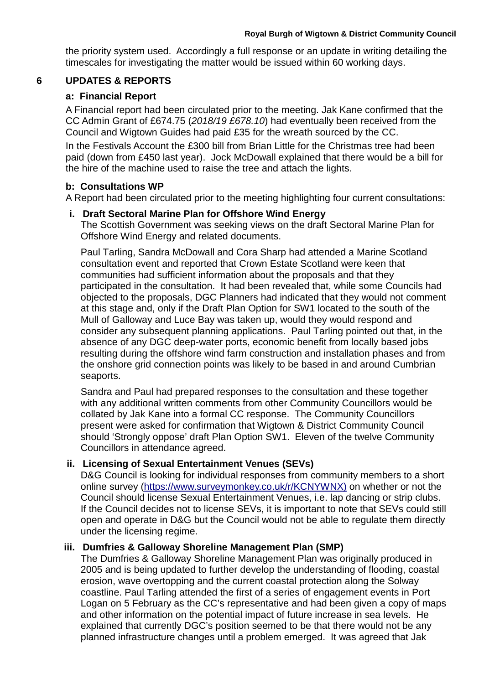the priority system used. Accordingly a full response or an update in writing detailing the timescales for investigating the matter would be issued within 60 working days.

## **6 UPDATES & REPORTS**

## **a: Financial Report**

A Financial report had been circulated prior to the meeting. Jak Kane confirmed that the CC Admin Grant of £674.75 (*2018/19 £678.10*) had eventually been received from the Council and Wigtown Guides had paid £35 for the wreath sourced by the CC.

In the Festivals Account the £300 bill from Brian Little for the Christmas tree had been paid (down from £450 last year). Jock McDowall explained that there would be a bill for the hire of the machine used to raise the tree and attach the lights.

### **b: Consultations WP**

A Report had been circulated prior to the meeting highlighting four current consultations:

### **i. Draft Sectoral Marine Plan for Offshore Wind Energy**

The Scottish Government was seeking views on the draft Sectoral Marine Plan for Offshore Wind Energy and related documents.

Paul Tarling, Sandra McDowall and Cora Sharp had attended a Marine Scotland consultation event and reported that Crown Estate Scotland were keen that communities had sufficient information about the proposals and that they participated in the consultation. It had been revealed that, while some Councils had objected to the proposals, DGC Planners had indicated that they would not comment at this stage and, only if the Draft Plan Option for SW1 located to the south of the Mull of Galloway and Luce Bay was taken up, would they would respond and consider any subsequent planning applications. Paul Tarling pointed out that, in the absence of any DGC deep-water ports, economic benefit from locally based jobs resulting during the offshore wind farm construction and installation phases and from the onshore grid connection points was likely to be based in and around Cumbrian seaports.

Sandra and Paul had prepared responses to the consultation and these together with any additional written comments from other Community Councillors would be collated by Jak Kane into a formal CC response. The Community Councillors present were asked for confirmation that Wigtown & District Community Council should 'Strongly oppose' draft Plan Option SW1. Eleven of the twelve Community Councillors in attendance agreed.

### **ii. Licensing of Sexual Entertainment Venues (SEVs)**

D&G Council is looking for individual responses from community members to a short online survey [\(https://www.surveymonkey.co.uk/r/KCNYWNX\)](https://www.surveymonkey.co.uk/r/KCNYWNX) on whether or not the Council should license Sexual Entertainment Venues, i.e. lap dancing or strip clubs. If the Council decides not to license SEVs, it is important to note that SEVs could still open and operate in D&G but the Council would not be able to regulate them directly under the licensing regime.

### **iii. Dumfries & Galloway Shoreline Management Plan (SMP)**

The Dumfries & Galloway Shoreline Management Plan was originally produced in 2005 and is being updated to further develop the understanding of flooding, coastal erosion, wave overtopping and the current coastal protection along the Solway coastline. Paul Tarling attended the first of a series of engagement events in Port Logan on 5 February as the CC's representative and had been given a copy of maps and other information on the potential impact of future increase in sea levels. He explained that currently DGC's position seemed to be that there would not be any planned infrastructure changes until a problem emerged. It was agreed that Jak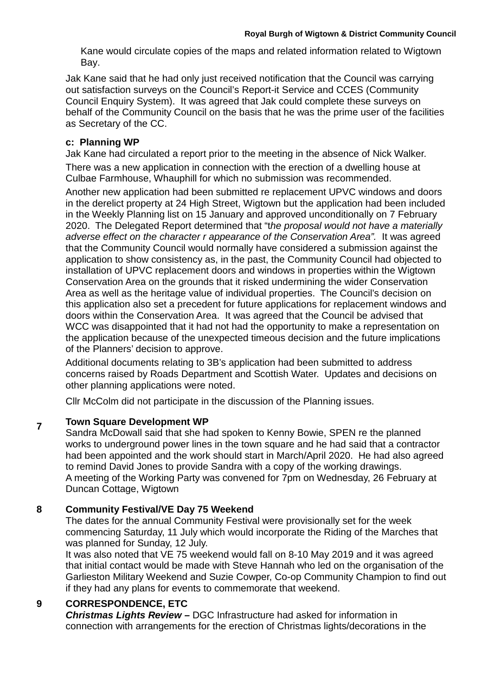Kane would circulate copies of the maps and related information related to Wigtown Bay.

Jak Kane said that he had only just received notification that the Council was carrying out satisfaction surveys on the Council's Report-it Service and CCES (Community Council Enquiry System). It was agreed that Jak could complete these surveys on behalf of the Community Council on the basis that he was the prime user of the facilities as Secretary of the CC.

# **c: Planning WP**

Jak Kane had circulated a report prior to the meeting in the absence of Nick Walker. There was a new application in connection with the erection of a dwelling house at Culbae Farmhouse, Whauphill for which no submission was recommended.

Another new application had been submitted re replacement UPVC windows and doors in the derelict property at 24 High Street, Wigtown but the application had been included in the Weekly Planning list on 15 January and approved unconditionally on 7 February 2020. The Delegated Report determined that "t*he proposal would not have a materially adverse effect on the character r appearance of the Conservation Area".* It was agreed that the Community Council would normally have considered a submission against the application to show consistency as, in the past, the Community Council had objected to installation of UPVC replacement doors and windows in properties within the Wigtown Conservation Area on the grounds that it risked undermining the wider Conservation Area as well as the heritage value of individual properties. The Council's decision on this application also set a precedent for future applications for replacement windows and doors within the Conservation Area. It was agreed that the Council be advised that WCC was disappointed that it had not had the opportunity to make a representation on the application because of the unexpected timeous decision and the future implications of the Planners' decision to approve.

Additional documents relating to 3B's application had been submitted to address concerns raised by Roads Department and Scottish Water. Updates and decisions on other planning applications were noted.

Cllr McColm did not participate in the discussion of the Planning issues.

# **<sup>7</sup> Town Square Development WP**

Sandra McDowall said that she had spoken to Kenny Bowie, SPEN re the planned works to underground power lines in the town square and he had said that a contractor had been appointed and the work should start in March/April 2020. He had also agreed to remind David Jones to provide Sandra with a copy of the working drawings. A meeting of the Working Party was convened for 7pm on Wednesday, 26 February at Duncan Cottage, Wigtown

# **8 Community Festival/VE Day 75 Weekend**

The dates for the annual Community Festival were provisionally set for the week commencing Saturday, 11 July which would incorporate the Riding of the Marches that was planned for Sunday, 12 July.

It was also noted that VE 75 weekend would fall on 8-10 May 2019 and it was agreed that initial contact would be made with Steve Hannah who led on the organisation of the Garlieston Military Weekend and Suzie Cowper, Co-op Community Champion to find out if they had any plans for events to commemorate that weekend.

# **9 CORRESPONDENCE, ETC**

*Christmas Lights Review –* DGC Infrastructure had asked for information in connection with arrangements for the erection of Christmas lights/decorations in the